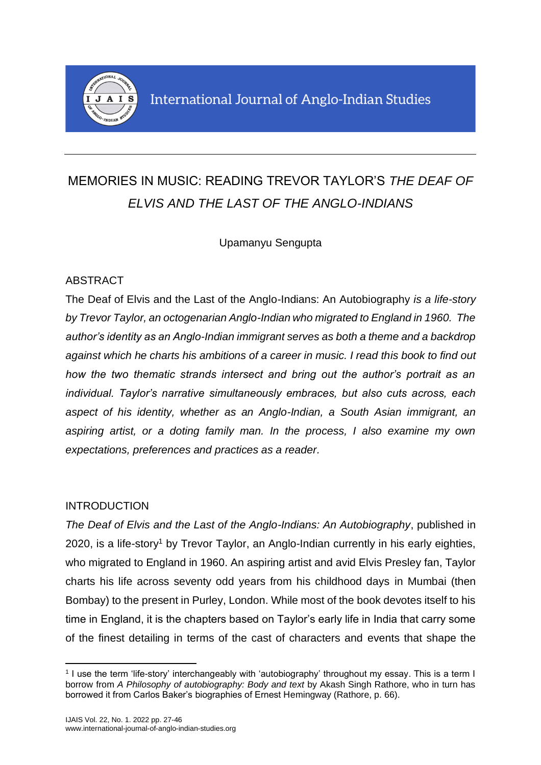

# MEMORIES IN MUSIC: READING TREVOR TAYLOR'S *THE DEAF OF ELVIS AND THE LAST OF THE ANGLO-INDIANS*

Upamanyu Sengupta

# ABSTRACT

The Deaf of Elvis and the Last of the Anglo-Indians: An Autobiography *is a life-story by Trevor Taylor, an octogenarian Anglo-Indian who migrated to England in 1960. The author's identity as an Anglo-Indian immigrant serves as both a theme and a backdrop against which he charts his ambitions of a career in music. I read this book to find out how the two thematic strands intersect and bring out the author's portrait as an individual. Taylor's narrative simultaneously embraces, but also cuts across, each aspect of his identity, whether as an Anglo-Indian, a South Asian immigrant, an aspiring artist, or a doting family man. In the process, I also examine my own expectations, preferences and practices as a reader.*

## INTRODUCTION

*The Deaf of Elvis and the Last of the Anglo-Indians: An Autobiography*, published in 2020, is a life-story<sup>1</sup> by Trevor Taylor, an Anglo-Indian currently in his early eighties, who migrated to England in 1960. An aspiring artist and avid Elvis Presley fan, Taylor charts his life across seventy odd years from his childhood days in Mumbai (then Bombay) to the present in Purley, London. While most of the book devotes itself to his time in England, it is the chapters based on Taylor's early life in India that carry some of the finest detailing in terms of the cast of characters and events that shape the

<sup>1</sup> I use the term 'life-story' interchangeably with 'autobiography' throughout my essay. This is a term I borrow from *A Philosophy of autobiography: Body and text* by Akash Singh Rathore, who in turn has borrowed it from Carlos Baker's biographies of Ernest Hemingway (Rathore, p. 66).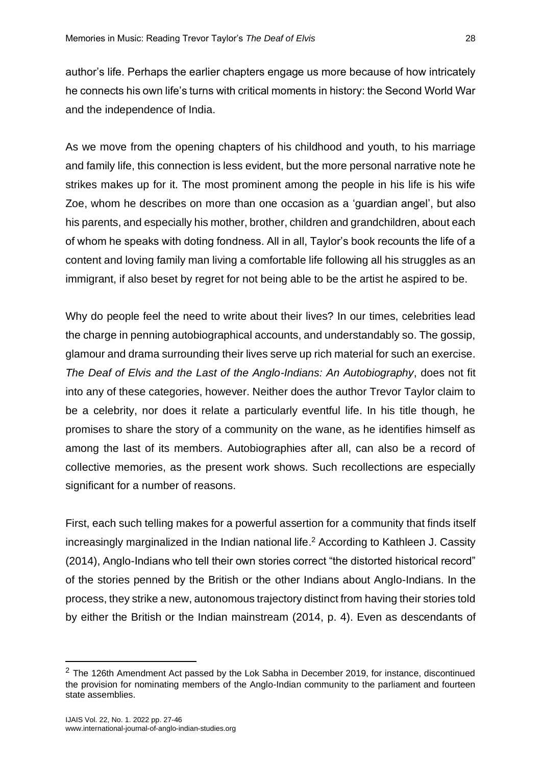author's life. Perhaps the earlier chapters engage us more because of how intricately he connects his own life's turns with critical moments in history: the Second World War and the independence of India.

As we move from the opening chapters of his childhood and youth, to his marriage and family life, this connection is less evident, but the more personal narrative note he strikes makes up for it. The most prominent among the people in his life is his wife Zoe, whom he describes on more than one occasion as a 'guardian angel', but also his parents, and especially his mother, brother, children and grandchildren, about each of whom he speaks with doting fondness. All in all, Taylor's book recounts the life of a content and loving family man living a comfortable life following all his struggles as an immigrant, if also beset by regret for not being able to be the artist he aspired to be.

Why do people feel the need to write about their lives? In our times, celebrities lead the charge in penning autobiographical accounts, and understandably so. The gossip, glamour and drama surrounding their lives serve up rich material for such an exercise. *The Deaf of Elvis and the Last of the Anglo-Indians: An Autobiography*, does not fit into any of these categories, however. Neither does the author Trevor Taylor claim to be a celebrity, nor does it relate a particularly eventful life. In his title though, he promises to share the story of a community on the wane, as he identifies himself as among the last of its members. Autobiographies after all, can also be a record of collective memories, as the present work shows. Such recollections are especially significant for a number of reasons.

First, each such telling makes for a powerful assertion for a community that finds itself increasingly marginalized in the Indian national life. <sup>2</sup> According to Kathleen J. Cassity (2014), Anglo-Indians who tell their own stories correct "the distorted historical record" of the stories penned by the British or the other Indians about Anglo-Indians. In the process, they strike a new, autonomous trajectory distinct from having their stories told by either the British or the Indian mainstream (2014, p. 4). Even as descendants of

 $<sup>2</sup>$  The 126th Amendment Act passed by the Lok Sabha in December 2019, for instance, discontinued</sup> the provision for nominating members of the Anglo-Indian community to the parliament and fourteen state assemblies.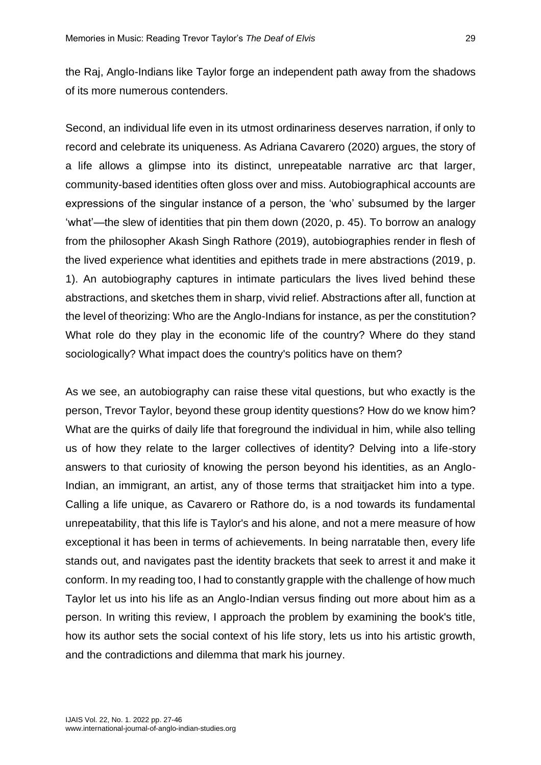the Raj, Anglo-Indians like Taylor forge an independent path away from the shadows of its more numerous contenders.

Second, an individual life even in its utmost ordinariness deserves narration, if only to record and celebrate its uniqueness. As Adriana Cavarero (2020) argues, the story of a life allows a glimpse into its distinct, unrepeatable narrative arc that larger, community-based identities often gloss over and miss. Autobiographical accounts are expressions of the singular instance of a person, the 'who' subsumed by the larger 'what'—the slew of identities that pin them down (2020, p. 45). To borrow an analogy from the philosopher Akash Singh Rathore (2019), autobiographies render in flesh of the lived experience what identities and epithets trade in mere abstractions (2019, p. 1). An autobiography captures in intimate particulars the lives lived behind these abstractions, and sketches them in sharp, vivid relief. Abstractions after all, function at the level of theorizing: Who are the Anglo-Indians for instance, as per the constitution? What role do they play in the economic life of the country? Where do they stand sociologically? What impact does the country's politics have on them?

As we see, an autobiography can raise these vital questions, but who exactly is the person, Trevor Taylor, beyond these group identity questions? How do we know him? What are the quirks of daily life that foreground the individual in him, while also telling us of how they relate to the larger collectives of identity? Delving into a life-story answers to that curiosity of knowing the person beyond his identities, as an Anglo-Indian, an immigrant, an artist, any of those terms that straitjacket him into a type. Calling a life unique, as Cavarero or Rathore do, is a nod towards its fundamental unrepeatability, that this life is Taylor's and his alone, and not a mere measure of how exceptional it has been in terms of achievements. In being narratable then, every life stands out, and navigates past the identity brackets that seek to arrest it and make it conform. In my reading too, I had to constantly grapple with the challenge of how much Taylor let us into his life as an Anglo-Indian versus finding out more about him as a person. In writing this review, I approach the problem by examining the book's title, how its author sets the social context of his life story, lets us into his artistic growth, and the contradictions and dilemma that mark his journey.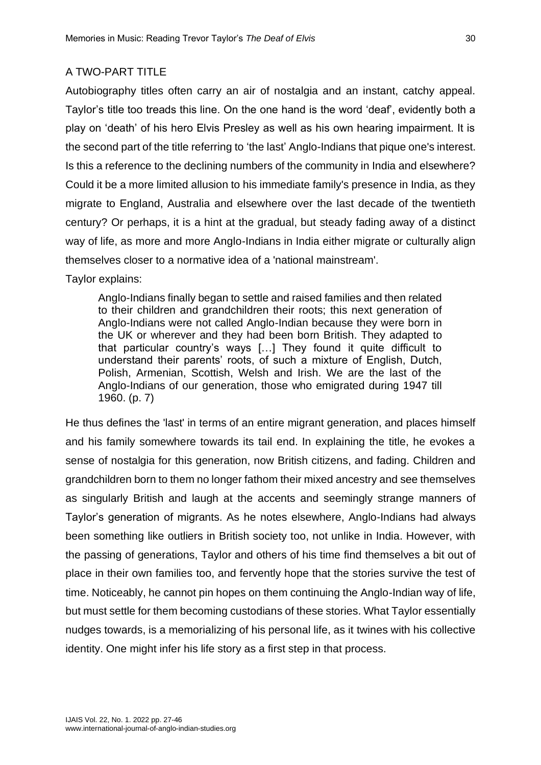## A TWO-PART TITLE

Autobiography titles often carry an air of nostalgia and an instant, catchy appeal. Taylor's title too treads this line. On the one hand is the word 'deaf', evidently both a play on 'death' of his hero Elvis Presley as well as his own hearing impairment. It is the second part of the title referring to 'the last' Anglo-Indians that pique one's interest. Is this a reference to the declining numbers of the community in India and elsewhere? Could it be a more limited allusion to his immediate family's presence in India, as they migrate to England, Australia and elsewhere over the last decade of the twentieth century? Or perhaps, it is a hint at the gradual, but steady fading away of a distinct way of life, as more and more Anglo-Indians in India either migrate or culturally align themselves closer to a normative idea of a 'national mainstream'.

#### Taylor explains:

Anglo-Indians finally began to settle and raised families and then related to their children and grandchildren their roots; this next generation of Anglo-Indians were not called Anglo-Indian because they were born in the UK or wherever and they had been born British. They adapted to that particular country's ways […] They found it quite difficult to understand their parents' roots, of such a mixture of English, Dutch, Polish, Armenian, Scottish, Welsh and Irish. We are the last of the Anglo-Indians of our generation, those who emigrated during 1947 till 1960. (p. 7)

He thus defines the 'last' in terms of an entire migrant generation, and places himself and his family somewhere towards its tail end. In explaining the title, he evokes a sense of nostalgia for this generation, now British citizens, and fading. Children and grandchildren born to them no longer fathom their mixed ancestry and see themselves as singularly British and laugh at the accents and seemingly strange manners of Taylor's generation of migrants. As he notes elsewhere, Anglo-Indians had always been something like outliers in British society too, not unlike in India. However, with the passing of generations, Taylor and others of his time find themselves a bit out of place in their own families too, and fervently hope that the stories survive the test of time. Noticeably, he cannot pin hopes on them continuing the Anglo-Indian way of life, but must settle for them becoming custodians of these stories. What Taylor essentially nudges towards, is a memorializing of his personal life, as it twines with his collective identity. One might infer his life story as a first step in that process.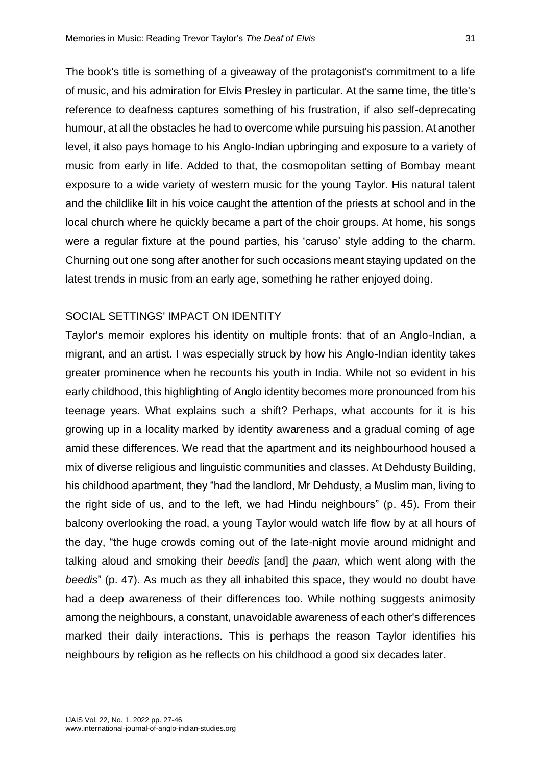The book's title is something of a giveaway of the protagonist's commitment to a life of music, and his admiration for Elvis Presley in particular. At the same time, the title's reference to deafness captures something of his frustration, if also self-deprecating humour, at all the obstacles he had to overcome while pursuing his passion. At another level, it also pays homage to his Anglo-Indian upbringing and exposure to a variety of music from early in life. Added to that, the cosmopolitan setting of Bombay meant exposure to a wide variety of western music for the young Taylor. His natural talent and the childlike lilt in his voice caught the attention of the priests at school and in the local church where he quickly became a part of the choir groups. At home, his songs were a regular fixture at the pound parties, his 'caruso' style adding to the charm. Churning out one song after another for such occasions meant staying updated on the latest trends in music from an early age, something he rather enjoyed doing.

### SOCIAL SETTINGS' IMPACT ON IDENTITY

Taylor's memoir explores his identity on multiple fronts: that of an Anglo-Indian, a migrant, and an artist. I was especially struck by how his Anglo-Indian identity takes greater prominence when he recounts his youth in India. While not so evident in his early childhood, this highlighting of Anglo identity becomes more pronounced from his teenage years. What explains such a shift? Perhaps, what accounts for it is his growing up in a locality marked by identity awareness and a gradual coming of age amid these differences. We read that the apartment and its neighbourhood housed a mix of diverse religious and linguistic communities and classes. At Dehdusty Building, his childhood apartment, they "had the landlord, Mr Dehdusty, a Muslim man, living to the right side of us, and to the left, we had Hindu neighbours" (p. 45). From their balcony overlooking the road, a young Taylor would watch life flow by at all hours of the day, "the huge crowds coming out of the late-night movie around midnight and talking aloud and smoking their *beedis* [and] the *paan*, which went along with the *beedis*" (p. 47). As much as they all inhabited this space, they would no doubt have had a deep awareness of their differences too. While nothing suggests animosity among the neighbours, a constant, unavoidable awareness of each other's differences marked their daily interactions. This is perhaps the reason Taylor identifies his neighbours by religion as he reflects on his childhood a good six decades later.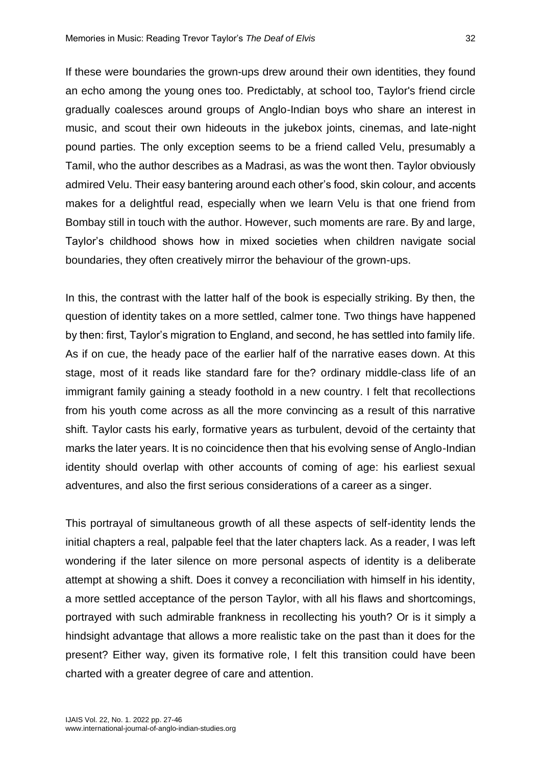If these were boundaries the grown-ups drew around their own identities, they found an echo among the young ones too. Predictably, at school too, Taylor's friend circle gradually coalesces around groups of Anglo-Indian boys who share an interest in music, and scout their own hideouts in the jukebox joints, cinemas, and late-night pound parties. The only exception seems to be a friend called Velu, presumably a Tamil, who the author describes as a Madrasi, as was the wont then. Taylor obviously admired Velu. Their easy bantering around each other's food, skin colour, and accents makes for a delightful read, especially when we learn Velu is that one friend from Bombay still in touch with the author. However, such moments are rare. By and large, Taylor's childhood shows how in mixed societies when children navigate social boundaries, they often creatively mirror the behaviour of the grown-ups.

In this, the contrast with the latter half of the book is especially striking. By then, the question of identity takes on a more settled, calmer tone. Two things have happened by then: first, Taylor's migration to England, and second, he has settled into family life. As if on cue, the heady pace of the earlier half of the narrative eases down. At this stage, most of it reads like standard fare for the? ordinary middle-class life of an immigrant family gaining a steady foothold in a new country. I felt that recollections from his youth come across as all the more convincing as a result of this narrative shift. Taylor casts his early, formative years as turbulent, devoid of the certainty that marks the later years. It is no coincidence then that his evolving sense of Anglo-Indian identity should overlap with other accounts of coming of age: his earliest sexual adventures, and also the first serious considerations of a career as a singer.

This portrayal of simultaneous growth of all these aspects of self-identity lends the initial chapters a real, palpable feel that the later chapters lack. As a reader, I was left wondering if the later silence on more personal aspects of identity is a deliberate attempt at showing a shift. Does it convey a reconciliation with himself in his identity, a more settled acceptance of the person Taylor, with all his flaws and shortcomings, portrayed with such admirable frankness in recollecting his youth? Or is it simply a hindsight advantage that allows a more realistic take on the past than it does for the present? Either way, given its formative role, I felt this transition could have been charted with a greater degree of care and attention.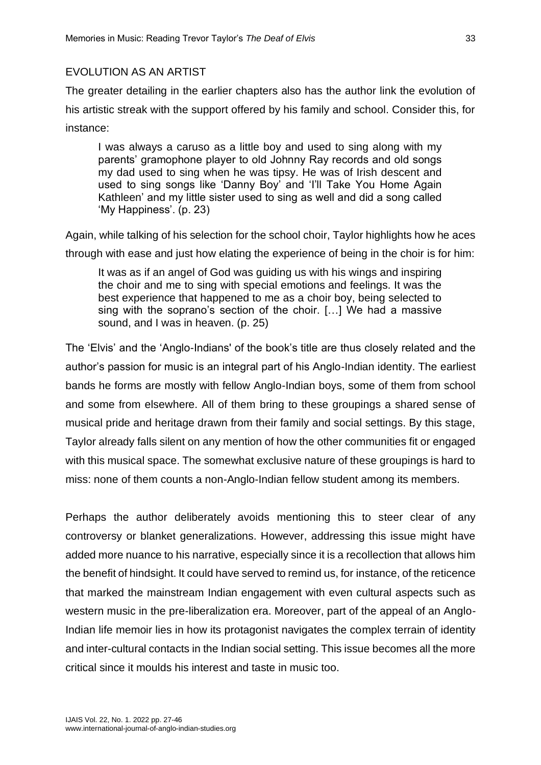## EVOLUTION AS AN ARTIST

The greater detailing in the earlier chapters also has the author link the evolution of his artistic streak with the support offered by his family and school. Consider this, for instance:

I was always a caruso as a little boy and used to sing along with my parents' gramophone player to old Johnny Ray records and old songs my dad used to sing when he was tipsy. He was of Irish descent and used to sing songs like 'Danny Boy' and 'I'll Take You Home Again Kathleen' and my little sister used to sing as well and did a song called 'My Happiness'. (p. 23)

Again, while talking of his selection for the school choir, Taylor highlights how he aces through with ease and just how elating the experience of being in the choir is for him:

It was as if an angel of God was guiding us with his wings and inspiring the choir and me to sing with special emotions and feelings. It was the best experience that happened to me as a choir boy, being selected to sing with the soprano's section of the choir. […] We had a massive sound, and I was in heaven. (p. 25)

The 'Elvis' and the 'Anglo-Indians' of the book's title are thus closely related and the author's passion for music is an integral part of his Anglo-Indian identity. The earliest bands he forms are mostly with fellow Anglo-Indian boys, some of them from school and some from elsewhere. All of them bring to these groupings a shared sense of musical pride and heritage drawn from their family and social settings. By this stage, Taylor already falls silent on any mention of how the other communities fit or engaged with this musical space. The somewhat exclusive nature of these groupings is hard to miss: none of them counts a non-Anglo-Indian fellow student among its members.

Perhaps the author deliberately avoids mentioning this to steer clear of any controversy or blanket generalizations. However, addressing this issue might have added more nuance to his narrative, especially since it is a recollection that allows him the benefit of hindsight. It could have served to remind us, for instance, of the reticence that marked the mainstream Indian engagement with even cultural aspects such as western music in the pre-liberalization era. Moreover, part of the appeal of an Anglo-Indian life memoir lies in how its protagonist navigates the complex terrain of identity and inter-cultural contacts in the Indian social setting. This issue becomes all the more critical since it moulds his interest and taste in music too.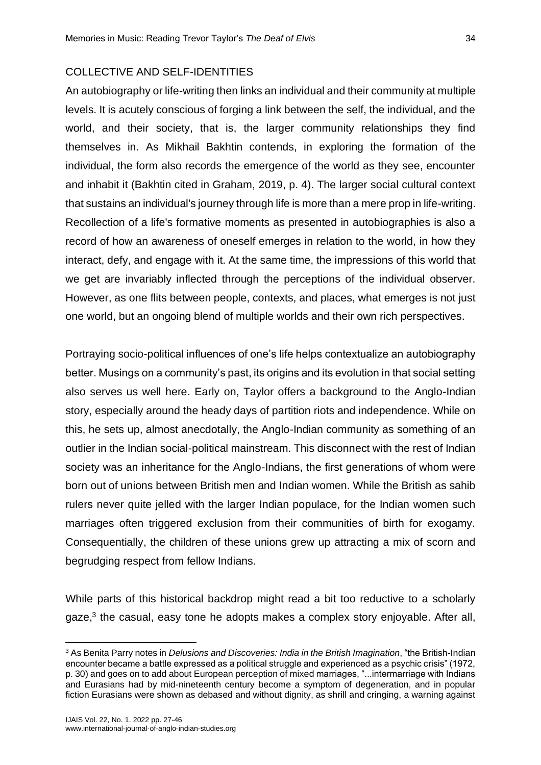### COLLECTIVE AND SELF-IDENTITIES

An autobiography or life-writing then links an individual and their community at multiple levels. It is acutely conscious of forging a link between the self, the individual, and the world, and their society, that is, the larger community relationships they find themselves in. As Mikhail Bakhtin contends, in exploring the formation of the individual, the form also records the emergence of the world as they see, encounter and inhabit it (Bakhtin cited in Graham, 2019, p. 4). The larger social cultural context that sustains an individual's journey through life is more than a mere prop in life-writing. Recollection of a life's formative moments as presented in autobiographies is also a record of how an awareness of oneself emerges in relation to the world, in how they interact, defy, and engage with it. At the same time, the impressions of this world that we get are invariably inflected through the perceptions of the individual observer. However, as one flits between people, contexts, and places, what emerges is not just one world, but an ongoing blend of multiple worlds and their own rich perspectives.

Portraying socio-political influences of one's life helps contextualize an autobiography better. Musings on a community's past, its origins and its evolution in that social setting also serves us well here. Early on, Taylor offers a background to the Anglo-Indian story, especially around the heady days of partition riots and independence. While on this, he sets up, almost anecdotally, the Anglo-Indian community as something of an outlier in the Indian social-political mainstream. This disconnect with the rest of Indian society was an inheritance for the Anglo-Indians, the first generations of whom were born out of unions between British men and Indian women. While the British as sahib rulers never quite jelled with the larger Indian populace, for the Indian women such marriages often triggered exclusion from their communities of birth for exogamy. Consequentially, the children of these unions grew up attracting a mix of scorn and begrudging respect from fellow Indians.

While parts of this historical backdrop might read a bit too reductive to a scholarly gaze,<sup>3</sup> the casual, easy tone he adopts makes a complex story enjoyable. After all,

<sup>3</sup> As Benita Parry notes in *Delusions and Discoveries: India in the British Imagination*, "the British-Indian encounter became a battle expressed as a political struggle and experienced as a psychic crisis" (1972, p. 30) and goes on to add about European perception of mixed marriages, "...intermarriage with Indians and Eurasians had by mid-nineteenth century become a symptom of degeneration, and in popular fiction Eurasians were shown as debased and without dignity, as shrill and cringing, a warning against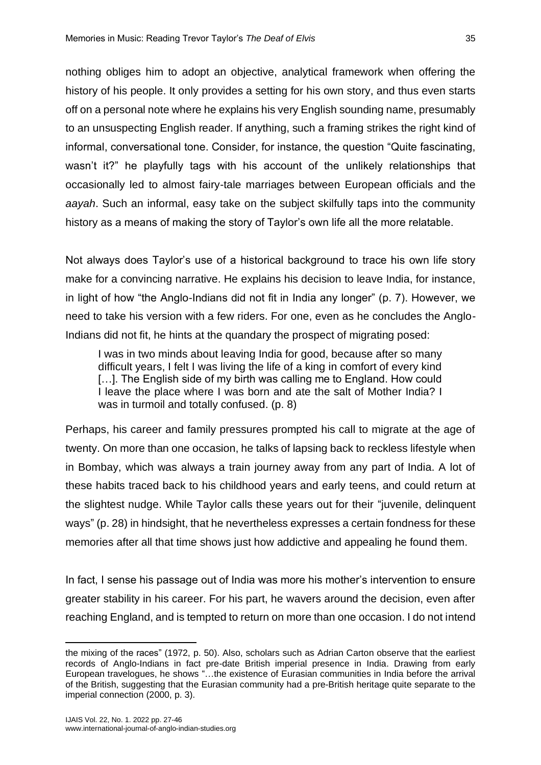nothing obliges him to adopt an objective, analytical framework when offering the history of his people. It only provides a setting for his own story, and thus even starts off on a personal note where he explains his very English sounding name, presumably to an unsuspecting English reader. If anything, such a framing strikes the right kind of informal, conversational tone. Consider, for instance, the question "Quite fascinating, wasn't it?" he playfully tags with his account of the unlikely relationships that occasionally led to almost fairy-tale marriages between European officials and the *aayah*. Such an informal, easy take on the subject skilfully taps into the community history as a means of making the story of Taylor's own life all the more relatable.

Not always does Taylor's use of a historical background to trace his own life story make for a convincing narrative. He explains his decision to leave India, for instance, in light of how "the Anglo-Indians did not fit in India any longer" (p. 7). However, we need to take his version with a few riders. For one, even as he concludes the Anglo-Indians did not fit, he hints at the quandary the prospect of migrating posed:

I was in two minds about leaving India for good, because after so many difficult years, I felt I was living the life of a king in comfort of every kind [...]. The English side of my birth was calling me to England. How could I leave the place where I was born and ate the salt of Mother India? I was in turmoil and totally confused. (p. 8)

Perhaps, his career and family pressures prompted his call to migrate at the age of twenty. On more than one occasion, he talks of lapsing back to reckless lifestyle when in Bombay, which was always a train journey away from any part of India. A lot of these habits traced back to his childhood years and early teens, and could return at the slightest nudge. While Taylor calls these years out for their "juvenile, delinquent ways" (p. 28) in hindsight, that he nevertheless expresses a certain fondness for these memories after all that time shows just how addictive and appealing he found them.

In fact, I sense his passage out of India was more his mother's intervention to ensure greater stability in his career. For his part, he wavers around the decision, even after reaching England, and is tempted to return on more than one occasion. I do not intend

the mixing of the races" (1972, p. 50). Also, scholars such as Adrian Carton observe that the earliest records of Anglo-Indians in fact pre-date British imperial presence in India. Drawing from early European travelogues, he shows "…the existence of Eurasian communities in India before the arrival of the British, suggesting that the Eurasian community had a pre-British heritage quite separate to the imperial connection (2000, p. 3).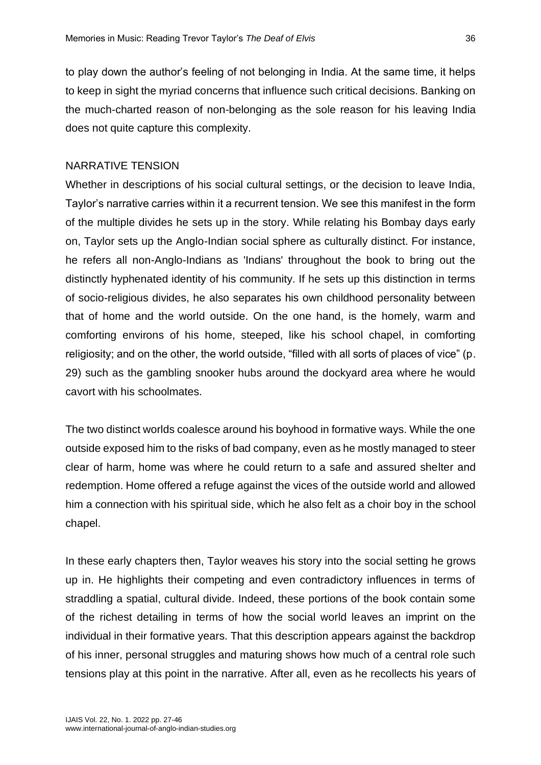to play down the author's feeling of not belonging in India. At the same time, it helps to keep in sight the myriad concerns that influence such critical decisions. Banking on the much-charted reason of non-belonging as the sole reason for his leaving India does not quite capture this complexity.

### NARRATIVE TENSION

Whether in descriptions of his social cultural settings, or the decision to leave India, Taylor's narrative carries within it a recurrent tension. We see this manifest in the form of the multiple divides he sets up in the story. While relating his Bombay days early on, Taylor sets up the Anglo-Indian social sphere as culturally distinct. For instance, he refers all non-Anglo-Indians as 'Indians' throughout the book to bring out the distinctly hyphenated identity of his community. If he sets up this distinction in terms of socio-religious divides, he also separates his own childhood personality between that of home and the world outside. On the one hand, is the homely, warm and comforting environs of his home, steeped, like his school chapel, in comforting religiosity; and on the other, the world outside, "filled with all sorts of places of vice" (p. 29) such as the gambling snooker hubs around the dockyard area where he would cavort with his schoolmates.

The two distinct worlds coalesce around his boyhood in formative ways. While the one outside exposed him to the risks of bad company, even as he mostly managed to steer clear of harm, home was where he could return to a safe and assured shelter and redemption. Home offered a refuge against the vices of the outside world and allowed him a connection with his spiritual side, which he also felt as a choir boy in the school chapel.

In these early chapters then, Taylor weaves his story into the social setting he grows up in. He highlights their competing and even contradictory influences in terms of straddling a spatial, cultural divide. Indeed, these portions of the book contain some of the richest detailing in terms of how the social world leaves an imprint on the individual in their formative years. That this description appears against the backdrop of his inner, personal struggles and maturing shows how much of a central role such tensions play at this point in the narrative. After all, even as he recollects his years of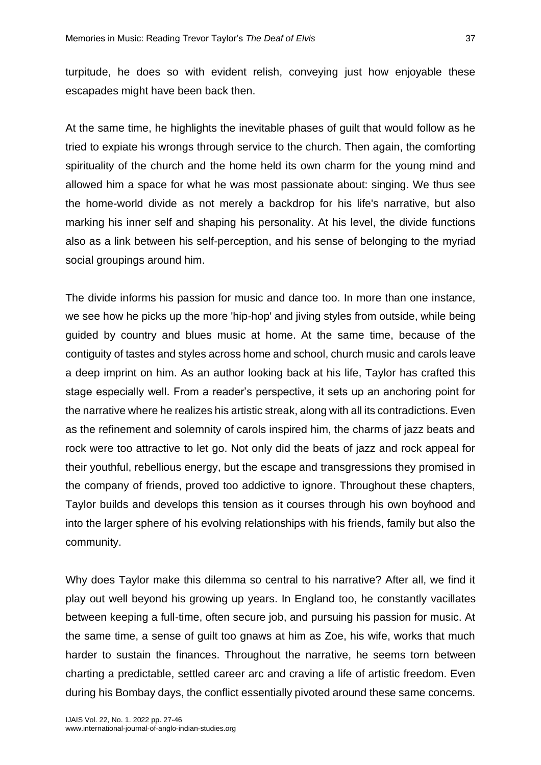turpitude, he does so with evident relish, conveying just how enjoyable these escapades might have been back then.

At the same time, he highlights the inevitable phases of guilt that would follow as he tried to expiate his wrongs through service to the church. Then again, the comforting spirituality of the church and the home held its own charm for the young mind and allowed him a space for what he was most passionate about: singing. We thus see the home-world divide as not merely a backdrop for his life's narrative, but also marking his inner self and shaping his personality. At his level, the divide functions also as a link between his self-perception, and his sense of belonging to the myriad social groupings around him.

The divide informs his passion for music and dance too. In more than one instance, we see how he picks up the more 'hip-hop' and jiving styles from outside, while being guided by country and blues music at home. At the same time, because of the contiguity of tastes and styles across home and school, church music and carols leave a deep imprint on him. As an author looking back at his life, Taylor has crafted this stage especially well. From a reader's perspective, it sets up an anchoring point for the narrative where he realizes his artistic streak, along with all its contradictions. Even as the refinement and solemnity of carols inspired him, the charms of jazz beats and rock were too attractive to let go. Not only did the beats of jazz and rock appeal for their youthful, rebellious energy, but the escape and transgressions they promised in the company of friends, proved too addictive to ignore. Throughout these chapters, Taylor builds and develops this tension as it courses through his own boyhood and into the larger sphere of his evolving relationships with his friends, family but also the community.

Why does Taylor make this dilemma so central to his narrative? After all, we find it play out well beyond his growing up years. In England too, he constantly vacillates between keeping a full-time, often secure job, and pursuing his passion for music. At the same time, a sense of guilt too gnaws at him as Zoe, his wife, works that much harder to sustain the finances. Throughout the narrative, he seems torn between charting a predictable, settled career arc and craving a life of artistic freedom. Even during his Bombay days, the conflict essentially pivoted around these same concerns.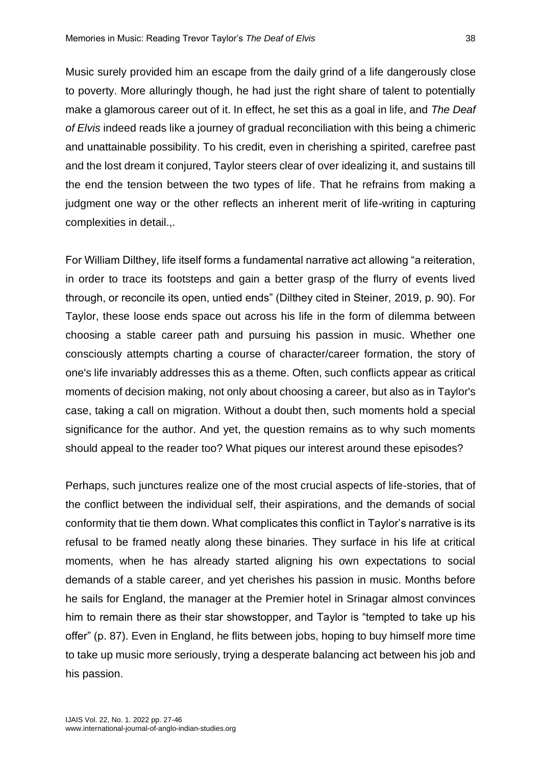Music surely provided him an escape from the daily grind of a life dangerously close to poverty. More alluringly though, he had just the right share of talent to potentially make a glamorous career out of it. In effect, he set this as a goal in life, and *The Deaf of Elvis* indeed reads like a journey of gradual reconciliation with this being a chimeric and unattainable possibility. To his credit, even in cherishing a spirited, carefree past and the lost dream it conjured, Taylor steers clear of over idealizing it, and sustains till the end the tension between the two types of life. That he refrains from making a judgment one way or the other reflects an inherent merit of life-writing in capturing complexities in detail.,.

For William Dilthey, life itself forms a fundamental narrative act allowing "a reiteration, in order to trace its footsteps and gain a better grasp of the flurry of events lived through, or reconcile its open, untied ends" (Dilthey cited in Steiner, 2019, p. 90). For Taylor, these loose ends space out across his life in the form of dilemma between choosing a stable career path and pursuing his passion in music. Whether one consciously attempts charting a course of character/career formation, the story of one's life invariably addresses this as a theme. Often, such conflicts appear as critical moments of decision making, not only about choosing a career, but also as in Taylor's case, taking a call on migration. Without a doubt then, such moments hold a special significance for the author. And yet, the question remains as to why such moments should appeal to the reader too? What piques our interest around these episodes?

Perhaps, such junctures realize one of the most crucial aspects of life-stories, that of the conflict between the individual self, their aspirations, and the demands of social conformity that tie them down. What complicates this conflict in Taylor's narrative is its refusal to be framed neatly along these binaries. They surface in his life at critical moments, when he has already started aligning his own expectations to social demands of a stable career, and yet cherishes his passion in music. Months before he sails for England, the manager at the Premier hotel in Srinagar almost convinces him to remain there as their star showstopper, and Taylor is "tempted to take up his offer" (p. 87). Even in England, he flits between jobs, hoping to buy himself more time to take up music more seriously, trying a desperate balancing act between his job and his passion.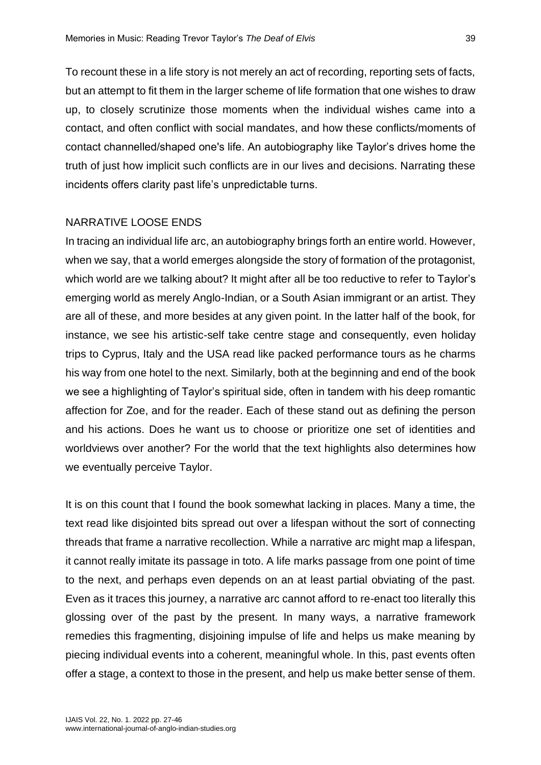To recount these in a life story is not merely an act of recording, reporting sets of facts, but an attempt to fit them in the larger scheme of life formation that one wishes to draw up, to closely scrutinize those moments when the individual wishes came into a contact, and often conflict with social mandates, and how these conflicts/moments of contact channelled/shaped one's life. An autobiography like Taylor's drives home the truth of just how implicit such conflicts are in our lives and decisions. Narrating these incidents offers clarity past life's unpredictable turns.

#### NARRATIVE LOOSE ENDS

In tracing an individual life arc, an autobiography brings forth an entire world. However, when we say, that a world emerges alongside the story of formation of the protagonist, which world are we talking about? It might after all be too reductive to refer to Taylor's emerging world as merely Anglo-Indian, or a South Asian immigrant or an artist. They are all of these, and more besides at any given point. In the latter half of the book, for instance, we see his artistic-self take centre stage and consequently, even holiday trips to Cyprus, Italy and the USA read like packed performance tours as he charms his way from one hotel to the next. Similarly, both at the beginning and end of the book we see a highlighting of Taylor's spiritual side, often in tandem with his deep romantic affection for Zoe, and for the reader. Each of these stand out as defining the person and his actions. Does he want us to choose or prioritize one set of identities and worldviews over another? For the world that the text highlights also determines how we eventually perceive Taylor.

It is on this count that I found the book somewhat lacking in places. Many a time, the text read like disjointed bits spread out over a lifespan without the sort of connecting threads that frame a narrative recollection. While a narrative arc might map a lifespan, it cannot really imitate its passage in toto. A life marks passage from one point of time to the next, and perhaps even depends on an at least partial obviating of the past. Even as it traces this journey, a narrative arc cannot afford to re-enact too literally this glossing over of the past by the present. In many ways, a narrative framework remedies this fragmenting, disjoining impulse of life and helps us make meaning by piecing individual events into a coherent, meaningful whole. In this, past events often offer a stage, a context to those in the present, and help us make better sense of them.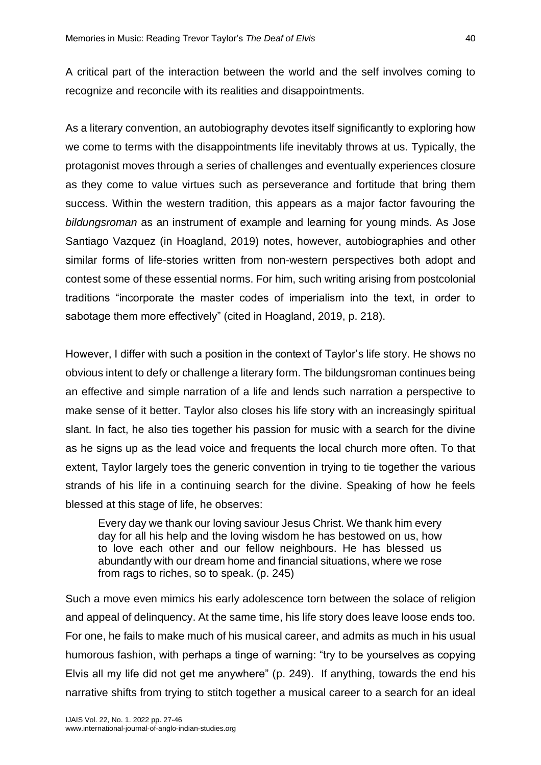A critical part of the interaction between the world and the self involves coming to recognize and reconcile with its realities and disappointments.

As a literary convention, an autobiography devotes itself significantly to exploring how we come to terms with the disappointments life inevitably throws at us. Typically, the protagonist moves through a series of challenges and eventually experiences closure as they come to value virtues such as perseverance and fortitude that bring them success. Within the western tradition, this appears as a major factor favouring the *bildungsroman* as an instrument of example and learning for young minds. As Jose Santiago Vazquez (in Hoagland, 2019) notes, however, autobiographies and other similar forms of life-stories written from non-western perspectives both adopt and contest some of these essential norms. For him, such writing arising from postcolonial traditions "incorporate the master codes of imperialism into the text, in order to sabotage them more effectively" (cited in Hoagland, 2019, p. 218).

However, I differ with such a position in the context of Taylor's life story. He shows no obvious intent to defy or challenge a literary form. The bildungsroman continues being an effective and simple narration of a life and lends such narration a perspective to make sense of it better. Taylor also closes his life story with an increasingly spiritual slant. In fact, he also ties together his passion for music with a search for the divine as he signs up as the lead voice and frequents the local church more often. To that extent, Taylor largely toes the generic convention in trying to tie together the various strands of his life in a continuing search for the divine. Speaking of how he feels blessed at this stage of life, he observes:

Every day we thank our loving saviour Jesus Christ. We thank him every day for all his help and the loving wisdom he has bestowed on us, how to love each other and our fellow neighbours. He has blessed us abundantly with our dream home and financial situations, where we rose from rags to riches, so to speak. (p. 245)

Such a move even mimics his early adolescence torn between the solace of religion and appeal of delinquency. At the same time, his life story does leave loose ends too. For one, he fails to make much of his musical career, and admits as much in his usual humorous fashion, with perhaps a tinge of warning: "try to be yourselves as copying Elvis all my life did not get me anywhere" (p. 249). If anything, towards the end his narrative shifts from trying to stitch together a musical career to a search for an ideal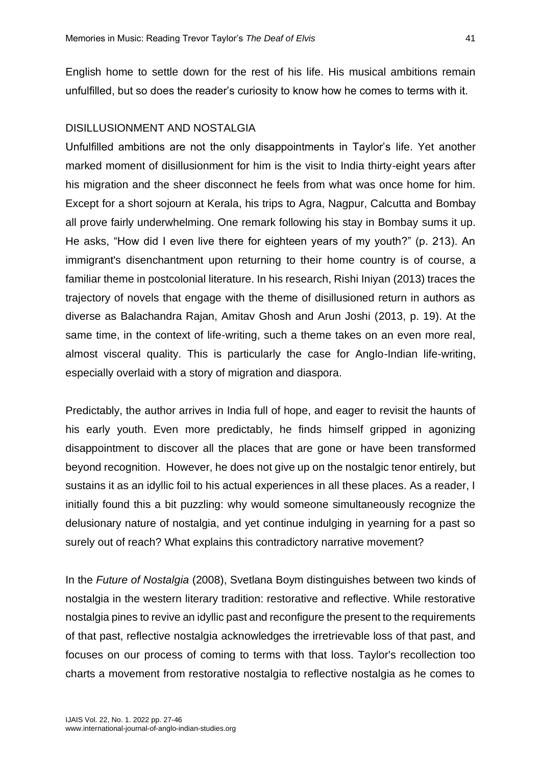English home to settle down for the rest of his life. His musical ambitions remain unfulfilled, but so does the reader's curiosity to know how he comes to terms with it.

## DISILLUSIONMENT AND NOSTALGIA

Unfulfilled ambitions are not the only disappointments in Taylor's life. Yet another marked moment of disillusionment for him is the visit to India thirty-eight years after his migration and the sheer disconnect he feels from what was once home for him. Except for a short sojourn at Kerala, his trips to Agra, Nagpur, Calcutta and Bombay all prove fairly underwhelming. One remark following his stay in Bombay sums it up. He asks, "How did I even live there for eighteen years of my youth?" (p. 213). An immigrant's disenchantment upon returning to their home country is of course, a familiar theme in postcolonial literature. In his research, Rishi Iniyan (2013) traces the trajectory of novels that engage with the theme of disillusioned return in authors as diverse as Balachandra Rajan, Amitav Ghosh and Arun Joshi (2013, p. 19). At the same time, in the context of life-writing, such a theme takes on an even more real, almost visceral quality. This is particularly the case for Anglo-Indian life-writing, especially overlaid with a story of migration and diaspora.

Predictably, the author arrives in India full of hope, and eager to revisit the haunts of his early youth. Even more predictably, he finds himself gripped in agonizing disappointment to discover all the places that are gone or have been transformed beyond recognition. However, he does not give up on the nostalgic tenor entirely, but sustains it as an idyllic foil to his actual experiences in all these places. As a reader, I initially found this a bit puzzling: why would someone simultaneously recognize the delusionary nature of nostalgia, and yet continue indulging in yearning for a past so surely out of reach? What explains this contradictory narrative movement?

In the *Future of Nostalgia* (2008), Svetlana Boym distinguishes between two kinds of nostalgia in the western literary tradition: restorative and reflective. While restorative nostalgia pines to revive an idyllic past and reconfigure the present to the requirements of that past, reflective nostalgia acknowledges the irretrievable loss of that past, and focuses on our process of coming to terms with that loss. Taylor's recollection too charts a movement from restorative nostalgia to reflective nostalgia as he comes to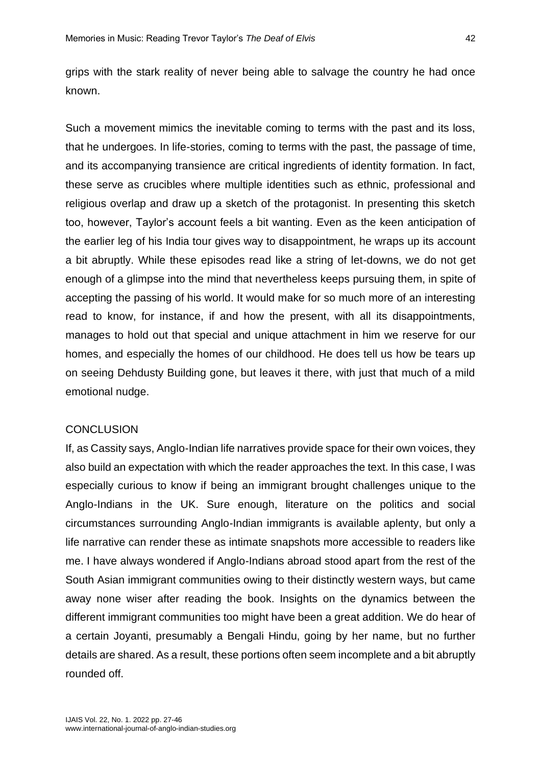grips with the stark reality of never being able to salvage the country he had once known.

Such a movement mimics the inevitable coming to terms with the past and its loss, that he undergoes. In life-stories, coming to terms with the past, the passage of time, and its accompanying transience are critical ingredients of identity formation. In fact, these serve as crucibles where multiple identities such as ethnic, professional and religious overlap and draw up a sketch of the protagonist. In presenting this sketch too, however, Taylor's account feels a bit wanting. Even as the keen anticipation of the earlier leg of his India tour gives way to disappointment, he wraps up its account a bit abruptly. While these episodes read like a string of let-downs, we do not get enough of a glimpse into the mind that nevertheless keeps pursuing them, in spite of accepting the passing of his world. It would make for so much more of an interesting read to know, for instance, if and how the present, with all its disappointments, manages to hold out that special and unique attachment in him we reserve for our homes, and especially the homes of our childhood. He does tell us how be tears up on seeing Dehdusty Building gone, but leaves it there, with just that much of a mild emotional nudge.

#### **CONCLUSION**

If, as Cassity says, Anglo-Indian life narratives provide space for their own voices, they also build an expectation with which the reader approaches the text. In this case, I was especially curious to know if being an immigrant brought challenges unique to the Anglo-Indians in the UK. Sure enough, literature on the politics and social circumstances surrounding Anglo-Indian immigrants is available aplenty, but only a life narrative can render these as intimate snapshots more accessible to readers like me. I have always wondered if Anglo-Indians abroad stood apart from the rest of the South Asian immigrant communities owing to their distinctly western ways, but came away none wiser after reading the book. Insights on the dynamics between the different immigrant communities too might have been a great addition. We do hear of a certain Joyanti, presumably a Bengali Hindu, going by her name, but no further details are shared. As a result, these portions often seem incomplete and a bit abruptly rounded off.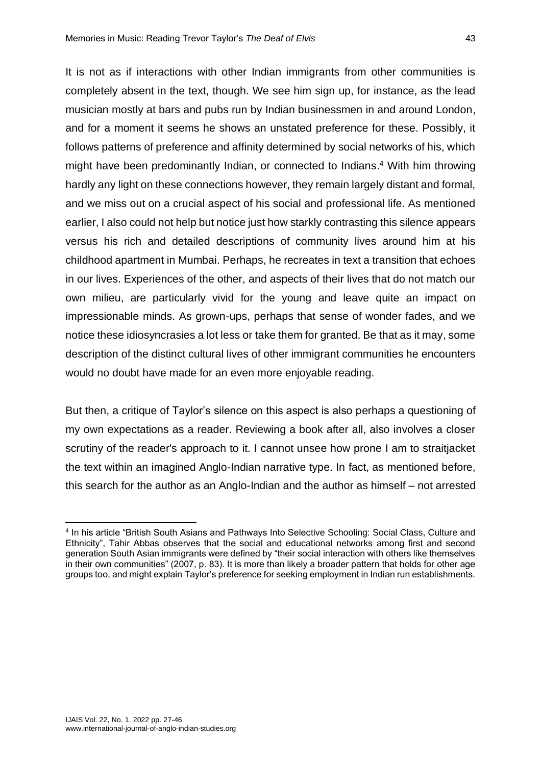It is not as if interactions with other Indian immigrants from other communities is completely absent in the text, though. We see him sign up, for instance, as the lead musician mostly at bars and pubs run by Indian businessmen in and around London, and for a moment it seems he shows an unstated preference for these. Possibly, it follows patterns of preference and affinity determined by social networks of his, which might have been predominantly Indian, or connected to Indians. <sup>4</sup> With him throwing hardly any light on these connections however, they remain largely distant and formal, and we miss out on a crucial aspect of his social and professional life. As mentioned earlier, I also could not help but notice just how starkly contrasting this silence appears versus his rich and detailed descriptions of community lives around him at his childhood apartment in Mumbai. Perhaps, he recreates in text a transition that echoes in our lives. Experiences of the other, and aspects of their lives that do not match our own milieu, are particularly vivid for the young and leave quite an impact on impressionable minds. As grown-ups, perhaps that sense of wonder fades, and we notice these idiosyncrasies a lot less or take them for granted. Be that as it may, some description of the distinct cultural lives of other immigrant communities he encounters would no doubt have made for an even more enjoyable reading.

But then, a critique of Taylor's silence on this aspect is also perhaps a questioning of my own expectations as a reader. Reviewing a book after all, also involves a closer scrutiny of the reader's approach to it. I cannot unsee how prone I am to straitjacket the text within an imagined Anglo-Indian narrative type. In fact, as mentioned before, this search for the author as an Anglo-Indian and the author as himself – not arrested

<sup>4</sup> In his article "British South Asians and Pathways Into Selective Schooling: Social Class, Culture and Ethnicity", Tahir Abbas observes that the social and educational networks among first and second generation South Asian immigrants were defined by "their social interaction with others like themselves in their own communities" (2007, p. 83). It is more than likely a broader pattern that holds for other age groups too, and might explain Taylor's preference for seeking employment in Indian run establishments.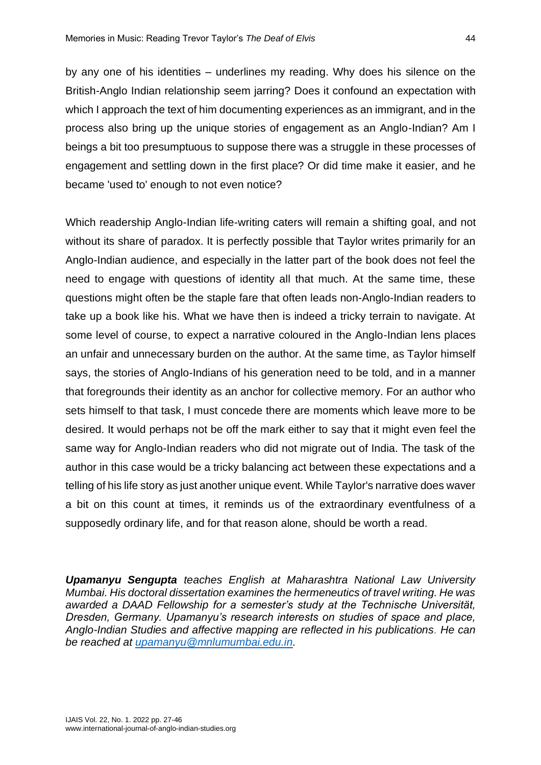by any one of his identities – underlines my reading. Why does his silence on the British-Anglo Indian relationship seem jarring? Does it confound an expectation with which I approach the text of him documenting experiences as an immigrant, and in the process also bring up the unique stories of engagement as an Anglo-Indian? Am I beings a bit too presumptuous to suppose there was a struggle in these processes of engagement and settling down in the first place? Or did time make it easier, and he became 'used to' enough to not even notice?

Which readership Anglo-Indian life-writing caters will remain a shifting goal, and not without its share of paradox. It is perfectly possible that Taylor writes primarily for an Anglo-Indian audience, and especially in the latter part of the book does not feel the need to engage with questions of identity all that much. At the same time, these questions might often be the staple fare that often leads non-Anglo-Indian readers to take up a book like his. What we have then is indeed a tricky terrain to navigate. At some level of course, to expect a narrative coloured in the Anglo-Indian lens places an unfair and unnecessary burden on the author. At the same time, as Taylor himself says, the stories of Anglo-Indians of his generation need to be told, and in a manner that foregrounds their identity as an anchor for collective memory. For an author who sets himself to that task, I must concede there are moments which leave more to be desired. It would perhaps not be off the mark either to say that it might even feel the same way for Anglo-Indian readers who did not migrate out of India. The task of the author in this case would be a tricky balancing act between these expectations and a telling of his life story as just another unique event. While Taylor's narrative does waver a bit on this count at times, it reminds us of the extraordinary eventfulness of a supposedly ordinary life, and for that reason alone, should be worth a read.

*Upamanyu Sengupta teaches English at Maharashtra National Law University Mumbai. His doctoral dissertation examines the hermeneutics of travel writing. He was awarded a DAAD Fellowship for a semester's study at the Technische Universität, Dresden, Germany. Upamanyu's research interests on studies of space and place, Anglo-Indian Studies and affective mapping are reflected in his publications. He can be reached at [upamanyu@mnlumumbai.edu.in.](mailto:upamanyu@mnlumumbai.edu.in)*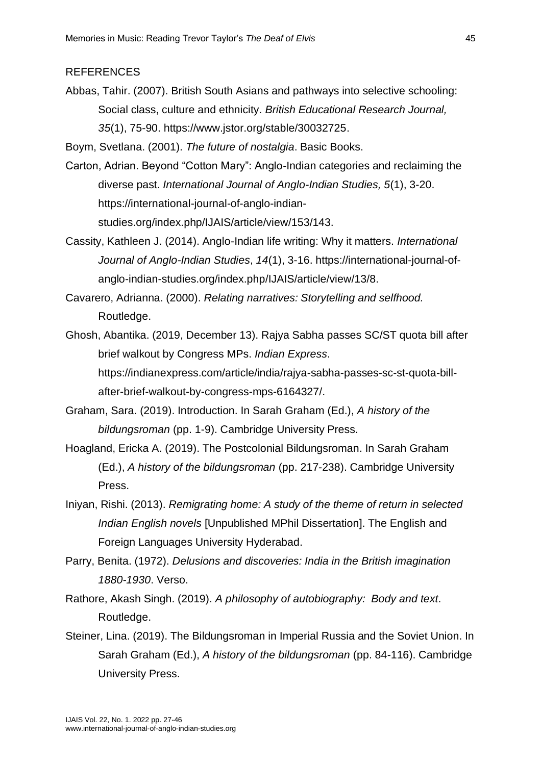#### REFERENCES

Abbas, Tahir. (2007). British South Asians and pathways into selective schooling: Social class, culture and ethnicity. *British Educational Research Journal, 35*(1), 75-90. https://www.jstor.org/stable/30032725.

Boym, Svetlana. (2001). *The future of nostalgia*. Basic Books.

Carton, Adrian. Beyond "Cotton Mary": Anglo-Indian categories and reclaiming the diverse past. *International Journal of Anglo-Indian Studies, 5*(1), 3-20. https://international-journal-of-anglo-indianstudies.org/index.php/IJAIS/article/view/153/143.

Cassity, Kathleen J. (2014). Anglo-Indian life writing: Why it matters. *International Journal of Anglo-Indian Studies*, *14*(1), 3-16. https://international-journal-ofanglo-indian-studies.org/index.php/IJAIS/article/view/13/8.

Cavarero, Adrianna. (2000). *Relating narratives: Storytelling and selfhood.* Routledge.

Ghosh, Abantika. (2019, December 13). Rajya Sabha passes SC/ST quota bill after brief walkout by Congress MPs. *Indian Express*. https://indianexpress.com/article/india/rajya-sabha-passes-sc-st-quota-billafter-brief-walkout-by-congress-mps-6164327/.

Graham, Sara. (2019). Introduction. In Sarah Graham (Ed.), *A history of the bildungsroman* (pp. 1-9). Cambridge University Press.

Hoagland, Ericka A. (2019). The Postcolonial Bildungsroman. In Sarah Graham (Ed.), *A history of the bildungsroman* (pp. 217-238). Cambridge University Press.

Iniyan, Rishi. (2013). *Remigrating home: A study of the theme of return in selected Indian English novels* [Unpublished MPhil Dissertation]. The English and Foreign Languages University Hyderabad.

Parry, Benita. (1972). *Delusions and discoveries: India in the British imagination 1880-1930*. Verso.

Rathore, Akash Singh. (2019). *A philosophy of autobiography: Body and text*. Routledge.

Steiner, Lina. (2019). The Bildungsroman in Imperial Russia and the Soviet Union. In Sarah Graham (Ed.), *A history of the bildungsroman* (pp. 84-116). Cambridge University Press.